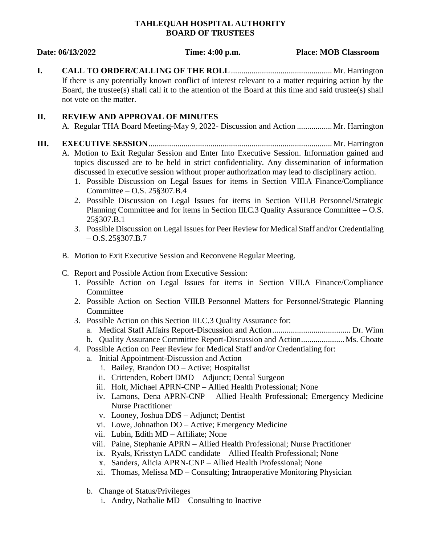## **TAHLEQUAH HOSPITAL AUTHORITY BOARD OF TRUSTEES**

**Date: 06/13/2022 Time: 4:00 p.m. Place: MOB Classroom**

**I. CALL TO ORDER/CALLING OF THE ROLL**.................................................Mr. Harrington If there is any potentially known conflict of interest relevant to a matter requiring action by the Board, the trustee(s) shall call it to the attention of the Board at this time and said trustee(s) shall not vote on the matter.

# **II. REVIEW AND APPROVAL OF MINUTES**

A. Regular THA Board Meeting-May 9, 2022- Discussion and Action .................Mr. Harrington

# **III. EXECUTIVE SESSION**.........................................................................................Mr. Harrington

- A. Motion to Exit Regular Session and Enter Into Executive Session. Information gained and topics discussed are to be held in strict confidentiality. Any dissemination of information discussed in executive session without proper authorization may lead to disciplinary action.
	- 1. Possible Discussion on Legal Issues for items in Section VIII.A Finance/Compliance Committee – O.S. 25§307.B.4
	- 2. Possible Discussion on Legal Issues for items in Section VIII.B Personnel/Strategic Planning Committee and for items in Section III.C.3 Quality Assurance Committee – O.S. 25§307.B.1
	- 3. Possible Discussion on Legal Issues for Peer Review for Medical Staff and/or Credentialing  $-$  O.S. 25§307.B.7
- B. Motion to Exit Executive Session and Reconvene Regular Meeting.
- C. Report and Possible Action from Executive Session:
	- 1. Possible Action on Legal Issues for items in Section VIII.A Finance/Compliance Committee
	- 2. Possible Action on Section VIII.B Personnel Matters for Personnel/Strategic Planning **Committee**
	- 3. Possible Action on this Section III.C.3 Quality Assurance for:
		- a. Medical Staff Affairs Report-Discussion and Action...................................... Dr. Winn
		- b. Quality Assurance Committee Report-Discussion and Action....................... Ms. Choate
	- 4. Possible Action on Peer Review for Medical Staff and/or Credentialing for:
		- a. Initial Appointment-Discussion and Action
			- i. Bailey, Brandon DO Active; Hospitalist
			- ii. Crittenden, Robert DMD Adjunct; Dental Surgeon
			- iii. Holt, Michael APRN-CNP Allied Health Professional; None
			- iv. Lamons, Dena APRN-CNP Allied Health Professional; Emergency Medicine Nurse Practitioner
			- v. Looney, Joshua DDS Adjunct; Dentist
			- vi. Lowe, Johnathon DO Active; Emergency Medicine
			- vii. Lubin, Edith MD Affiliate; None
			- viii. Paine, Stephanie APRN Allied Health Professional; Nurse Practitioner
			- ix. Ryals, Krisstyn LADC candidate Allied Health Professional; None
			- x. Sanders, Alicia APRN-CNP Allied Health Professional; None
			- xi. Thomas, Melissa MD Consulting; Intraoperative Monitoring Physician
		- b. Change of Status/Privileges
			- i. Andry, Nathalie MD Consulting to Inactive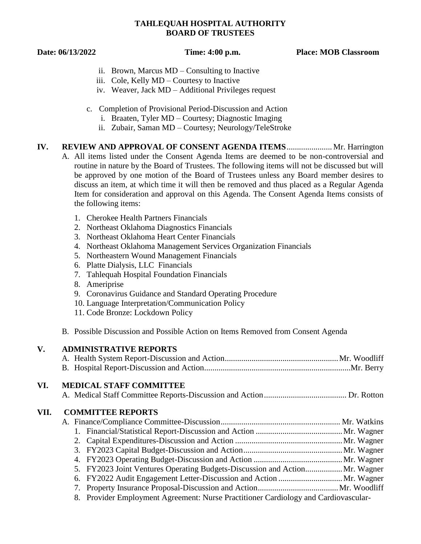# **TAHLEQUAH HOSPITAL AUTHORITY BOARD OF TRUSTEES**

**Date: 06/13/2022 Time: 4:00 p.m. Place: MOB Classroom**

- ii. Brown, Marcus MD Consulting to Inactive
- iii. Cole, Kelly MD Courtesy to Inactive
- iv. Weaver, Jack MD Additional Privileges request
- c. Completion of Provisional Period-Discussion and Action
	- i. Braaten, Tyler MD Courtesy; Diagnostic Imaging
	- ii. Zubair, Saman MD Courtesy; Neurology/TeleStroke
- **IV. REVIEW AND APPROVAL OF CONSENT AGENDA ITEMS**...................... Mr. Harrington A. All items listed under the Consent Agenda Items are deemed to be non-controversial and routine in nature by the Board of Trustees. The following items will not be discussed but will be approved by one motion of the Board of Trustees unless any Board member desires to discuss an item, at which time it will then be removed and thus placed as a Regular Agenda Item for consideration and approval on this Agenda. The Consent Agenda Items consists of the following items:
	- 1. Cherokee Health Partners Financials
	- 2. Northeast Oklahoma Diagnostics Financials
	- 3. Northeast Oklahoma Heart Center Financials
	- 4. Northeast Oklahoma Management Services Organization Financials
	- 5. Northeastern Wound Management Financials
	- 6. Platte Dialysis, LLC Financials
	- 7. Tahlequah Hospital Foundation Financials
	- 8. Ameriprise
	- 9. Coronavirus Guidance and Standard Operating Procedure
	- 10. Language Interpretation/Communication Policy
	- 11. Code Bronze: Lockdown Policy
	- B. Possible Discussion and Possible Action on Items Removed from Consent Agenda

| <b>ADMINISTRATIVE REPORTS</b>                                                    |                                                                             |
|----------------------------------------------------------------------------------|-----------------------------------------------------------------------------|
|                                                                                  |                                                                             |
|                                                                                  |                                                                             |
| <b>MEDICAL STAFF COMMITTEE</b>                                                   |                                                                             |
|                                                                                  |                                                                             |
| <b>COMMITTEE REPORTS</b>                                                         |                                                                             |
|                                                                                  |                                                                             |
|                                                                                  |                                                                             |
|                                                                                  |                                                                             |
|                                                                                  |                                                                             |
|                                                                                  |                                                                             |
|                                                                                  |                                                                             |
|                                                                                  |                                                                             |
|                                                                                  |                                                                             |
| Provider Employment Agreement: Nurse Practitioner Cardiology and Cardiovascular- |                                                                             |
|                                                                                  | 5. FY2023 Joint Ventures Operating Budgets-Discussion and Action Mr. Wagner |